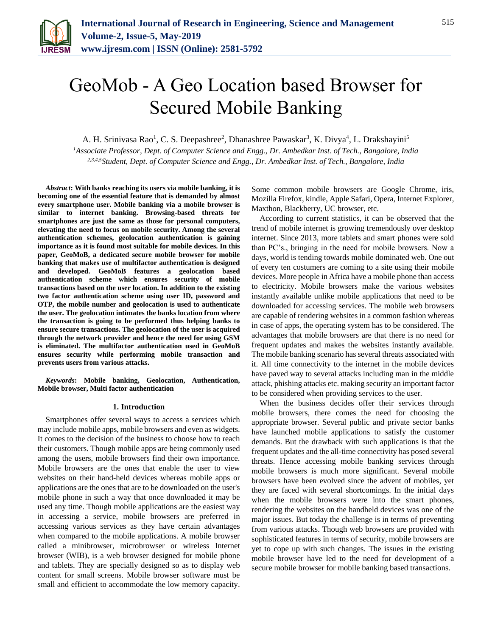

# GeoMob - A Geo Location based Browser for Secured Mobile Banking

A. H. Srinivasa Rao<sup>1</sup>, C. S. Deepashree<sup>2</sup>, Dhanashree Pawaskar<sup>3</sup>, K. Divya<sup>4</sup>, L. Drakshayini<sup>5</sup>

*<sup>1</sup>Associate Professor, Dept. of Computer Science and Engg., Dr. Ambedkar Inst. of Tech., Bangalore, India 2,3,4,5Student, Dept. of Computer Science and Engg., Dr. Ambedkar Inst. of Tech., Bangalore, India*

*Abstract***: With banks reaching its users via mobile banking, it is becoming one of the essential feature that is demanded by almost every smartphone user. Mobile banking via a mobile browser is similar to internet banking. Browsing-based threats for smartphones are just the same as those for personal computers, elevating the need to focus on mobile security. Among the several authentication schemes, geolocation authentication is gaining importance as it is found most suitable for mobile devices. In this paper, GeoMoB, a dedicated secure mobile browser for mobile banking that makes use of multifactor authentication is designed and developed. GeoMoB features a geolocation based authentication scheme which ensures security of mobile transactions based on the user location. In addition to the existing two factor authentication scheme using user ID, password and OTP, the mobile number and geolocation is used to authenticate the user. The geolocation intimates the banks location from where the transaction is going to be performed thus helping banks to ensure secure transactions. The geolocation of the user is acquired through the network provider and hence the need for using GSM is eliminated. The multifactor authentication used in GeoMoB ensures security while performing mobile transaction and prevents users from various attacks.**

*Keywords***: Mobile banking, Geolocation, Authentication, Mobile browser, Multi factor authentication** 

#### **1. Introduction**

Smartphones offer several ways to access a services which may include mobile apps, mobile browsers and even as widgets. It comes to the decision of the business to choose how to reach their customers. Though mobile apps are being commonly used among the users, mobile browsers find their own importance. Mobile browsers are the ones that enable the user to view websites on their hand-held devices whereas mobile apps or applications are the ones that are to be downloaded on the user's mobile phone in such a way that once downloaded it may be used any time. Though mobile applications are the easiest way in accessing a service, mobile browsers are preferred in accessing various services as they have certain advantages when compared to the mobile applications. A mobile browser called a minibrowser, microbrowser or wireless Internet browser (WIB), is a web browser designed for mobile phone and tablets. They are specially designed so as to display web content for small screens. Mobile browser software must be small and efficient to accommodate the low memory capacity.

Some common mobile browsers are Google Chrome, iris, Mozilla Firefox, kindle, Apple Safari, Opera, Internet Explorer, Maxthon, Blackberry, UC browser, etc.

According to current statistics, it can be observed that the trend of mobile internet is growing tremendously over desktop internet. Since 2013, more tablets and smart phones were sold than PC's., bringing in the need for mobile browsers. Now a days, world is tending towards mobile dominated web. One out of every ten costumers are coming to a site using their mobile devices. More people in Africa have a mobile phone than access to electricity. Mobile browsers make the various websites instantly available unlike mobile applications that need to be downloaded for accessing services. The mobile web browsers are capable of rendering websites in a common fashion whereas in case of apps, the operating system has to be considered. The advantages that mobile browsers are that there is no need for frequent updates and makes the websites instantly available. The mobile banking scenario has several threats associated with it. All time connectivity to the internet in the mobile devices have paved way to several attacks including man in the middle attack, phishing attacks etc. making security an important factor to be considered when providing services to the user.

When the business decides offer their services through mobile browsers, there comes the need for choosing the appropriate browser. Several public and private sector banks have launched mobile applications to satisfy the customer demands. But the drawback with such applications is that the frequent updates and the all-time connectivity has posed several threats. Hence accessing mobile banking services through mobile browsers is much more significant. Several mobile browsers have been evolved since the advent of mobiles, yet they are faced with several shortcomings. In the initial days when the mobile browsers were into the smart phones, rendering the websites on the handheld devices was one of the major issues. But today the challenge is in terms of preventing from various attacks. Though web browsers are provided with sophisticated features in terms of security, mobile browsers are yet to cope up with such changes. The issues in the existing mobile browser have led to the need for development of a secure mobile browser for mobile banking based transactions.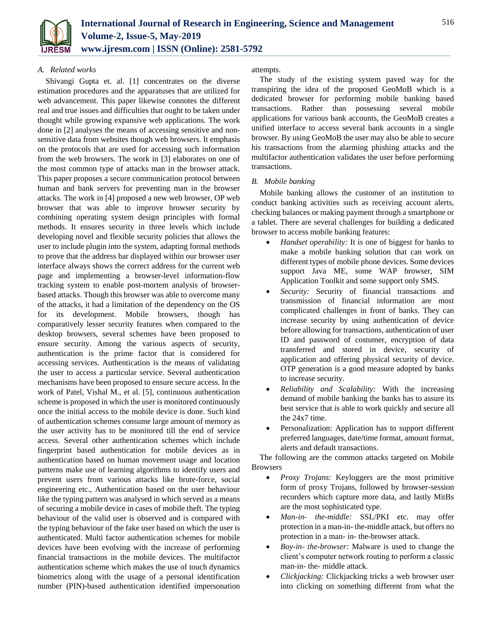

## *A. Related works*

Shivangi Gupta et. al. [1] concentrates on the diverse estimation procedures and the apparatuses that are utilized for web advancement. This paper likewise connotes the different real and true issues and difficulties that ought to be taken under thought while growing expansive web applications. The work done in [2] analyses the means of accessing sensitive and nonsensitive data from websites though web browsers. It emphasis on the protocols that are used for accessing such information from the web browsers. The work in [3] elaborates on one of the most common type of attacks man in the browser attack. This paper proposes a secure communication protocol between human and bank servers for preventing man in the browser attacks. The work in [4] proposed a new web browser, OP web browser that was able to improve browser security by combining operating system design principles with formal methods. It ensures security in three levels which include developing novel and flexible security policies that allows the user to include plugin into the system, adapting formal methods to prove that the address bar displayed within our browser user interface always shows the correct address for the current web page and implementing a browser-level information-flow tracking system to enable post-mortem analysis of browserbased attacks. Though this browser was able to overcome many of the attacks, it had a limitation of the dependency on the OS for its development. Mobile browsers, though has comparatively lesser security features when compared to the desktop browsers, several schemes have been proposed to ensure security. Among the various aspects of security, authentication is the prime factor that is considered for accessing services. Authentication is the means of validating the user to access a particular service. Several authentication mechanisms have been proposed to ensure secure access. In the work of Patel, Vishal M., et al. [5], continuous authentication scheme is proposed in which the user is monitored continuously once the initial access to the mobile device is done. Such kind of authentication schemes consume large amount of memory as the user activity has to be monitored till the end of service access. Several other authentication schemes which include fingerprint based authentication for mobile devices as in authentication based on human movement usage and location patterns make use of learning algorithms to identify users and prevent users from various attacks like brute-force, social engineering etc., Authentication based on the user behaviour like the typing pattern was analysed in which served as a means of securing a mobile device in cases of mobile theft. The typing behaviour of the valid user is observed and is compared with the typing behaviour of the fake user based on which the user is authenticated. Multi factor authentication schemes for mobile devices have been evolving with the increase of performing financial transactions in the mobile devices. The multifactor authentication scheme which makes the use of touch dynamics biometrics along with the usage of a personal identification number (PIN)-based authentication identified impersonation attempts.

The study of the existing system paved way for the transpiring the idea of the proposed GeoMoB which is a dedicated browser for performing mobile banking based transactions. Rather than possessing several mobile applications for various bank accounts, the GeoMoB creates a unified interface to access several bank accounts in a single browser. By using GeoMoB the user may also be able to secure his transactions from the alarming phishing attacks and the multifactor authentication validates the user before performing transactions.

## *B. Mobile banking*

Mobile banking allows the customer of an institution to conduct banking activities such as receiving account alerts, checking balances or making payment through a smartphone or a tablet. There are several challenges for building a dedicated browser to access mobile banking features:

- *Handset operability:* It is one of biggest for banks to make a mobile banking solution that can work on different types of mobile phone devices. Some devices support Java ME, some WAP browser, SIM Application Toolkit and some support only SMS.
- *Security:* Security of financial transactions and transmission of financial information are most complicated challenges in front of banks. They can increase security by using authentication of device before allowing for transactions, authentication of user ID and password of costumer, encryption of data transferred and stored in device, security of application and offering physical security of device. OTP generation is a good measure adopted by banks to increase security.
- *Reliability and Scalability:* With the increasing demand of mobile banking the banks has to assure its best service that is able to work quickly and secure all the 24x7 time.
- Personalization: Application has to support different preferred languages, date/time format, amount format, alerts and default transactions.

The following are the common attacks targeted on Mobile Browsers

- *Proxy Trojans:* Keyloggers are the most primitive form of proxy Trojans, followed by browser-session recorders which capture more data, and lastly MitBs are the most sophisticated type.
- *Man-in- the-middle:* SSL/PKI etc. may offer protection in a man-in- the-middle attack, but offers no protection in a man- in- the-browser attack.
- *Boy-in- the-browser:* Malware is used to change the client's computer network routing to perform a classic man-in- the- middle attack.
- *Clickjacking:* Clickjacking tricks a web browser user into clicking on something different from what the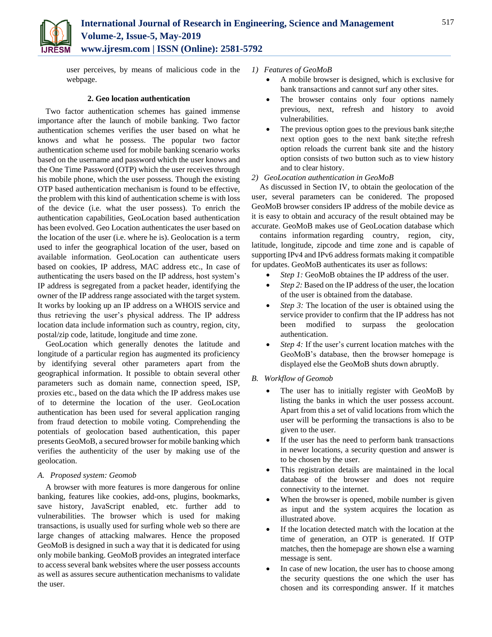

user perceives, by means of malicious code in the webpage.

## **2. Geo location authentication**

Two factor authentication schemes has gained immense importance after the launch of mobile banking. Two factor authentication schemes verifies the user based on what he knows and what he possess. The popular two factor authentication scheme used for mobile banking scenario works based on the username and password which the user knows and the One Time Password (OTP) which the user receives through his mobile phone, which the user possess. Though the existing OTP based authentication mechanism is found to be effective, the problem with this kind of authentication scheme is with loss of the device (i.e. what the user possess). To enrich the authentication capabilities, GeoLocation based authentication has been evolved. Geo Location authenticates the user based on the location of the user (i.e. where he is). Geolocation is a term used to infer the geographical location of the user, based on available information. GeoLocation can authenticate users based on cookies, IP address, MAC address etc., In case of authenticating the users based on the IP address, host system's IP address is segregated from a packet header, identifying the owner of the IP address range associated with the target system. It works by looking up an IP address on a WHOIS service and thus retrieving the user's physical address. The IP address location data include information such as country, region, city, postal/zip code, latitude, longitude and time zone.

GeoLocation which generally denotes the latitude and longitude of a particular region has augmented its proficiency by identifying several other parameters apart from the geographical information. It possible to obtain several other parameters such as domain name, connection speed, ISP, proxies etc., based on the data which the IP address makes use of to determine the location of the user. GeoLocation authentication has been used for several application ranging from fraud detection to mobile voting. Comprehending the potentials of geolocation based authentication, this paper presents GeoMoB, a secured browser for mobile banking which verifies the authenticity of the user by making use of the geolocation.

# *A. Proposed system: Geomob*

A browser with more features is more dangerous for online banking, features like cookies, add-ons, plugins, bookmarks, save history, JavaScript enabled, etc. further add to vulnerabilities. The browser which is used for making transactions, is usually used for surfing whole web so there are large changes of attacking malwares. Hence the proposed GeoMoB is designed in such a way that it is dedicated for using only mobile banking. GeoMoB provides an integrated interface to access several bank websites where the user possess accounts as well as assures secure authentication mechanisms to validate the user.

#### *1) Features of GeoMoB*

- A mobile browser is designed, which is exclusive for bank transactions and cannot surf any other sites.
- The browser contains only four options namely previous, next, refresh and history to avoid vulnerabilities.
- The previous option goes to the previous bank site;the next option goes to the next bank site;the refresh option reloads the current bank site and the history option consists of two button such as to view history and to clear history.

## *2) GeoLocation authentication in GeoMoB*

As discussed in Section IV, to obtain the geolocation of the user, several parameters can be conidered. The proposed GeoMoB browser considers IP address of the mobile device as it is easy to obtain and accuracy of the result obtained may be accurate. GeoMoB makes use of GeoLocation database which

contains information regarding country, region, city, latitude, longitude, zipcode and time zone and is capable of supporting IPv4 and IPv6 address formats making it compatible for updates. GeoMoB authenticates its user as follows:

- *Step 1:* GeoMoB obtaines the IP address of the user.
- *Step 2:* Based on the IP address of the user, the location of the user is obtained from the database.
- *Step 3:* The location of the user is obtained using the service provider to confirm that the IP address has not been modified to surpass the geolocation authentication.
- *Step 4:* If the user's current location matches with the GeoMoB's database, then the browser homepage is displayed else the GeoMoB shuts down abruptly.
- *B. Workflow of Geomob*
	- The user has to initially register with GeoMoB by listing the banks in which the user possess account. Apart from this a set of valid locations from which the user will be performing the transactions is also to be given to the user.
	- If the user has the need to perform bank transactions in newer locations, a security question and answer is to be chosen by the user.
	- This registration details are maintained in the local database of the browser and does not require connectivity to the internet.
	- When the browser is opened, mobile number is given as input and the system acquires the location as illustrated above.
	- If the location detected match with the location at the time of generation, an OTP is generated. If OTP matches, then the homepage are shown else a warning message is sent.
	- In case of new location, the user has to choose among the security questions the one which the user has chosen and its corresponding answer. If it matches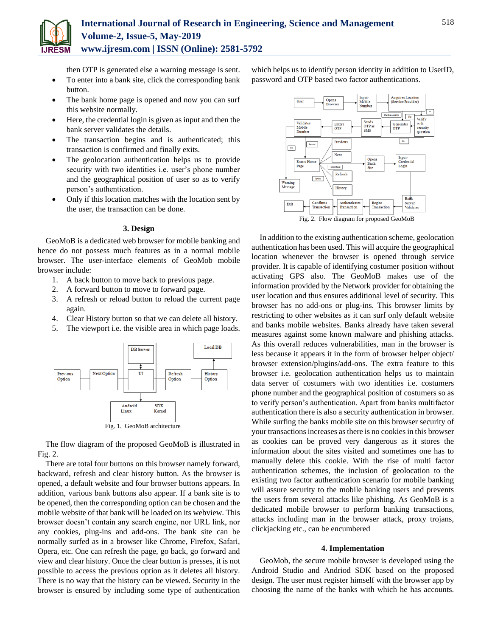

then OTP is generated else a warning message is sent.

- To enter into a bank site, click the corresponding bank button.
- The bank home page is opened and now you can surf this website normally.
- Here, the credential login is given as input and then the bank server validates the details.
- The transaction begins and is authenticated; this transaction is confirmed and finally exits.
- The geolocation authentication helps us to provide security with two identities i.e. user's phone number and the geographical position of user so as to verify person's authentication.
- Only if this location matches with the location sent by the user, the transaction can be done.

#### **3. Design**

GeoMoB is a dedicated web browser for mobile banking and hence do not possess much features as in a normal mobile browser. The user-interface elements of GeoMob mobile browser include:

- 1. A back button to move back to previous page.
- 2. A forward button to move to forward page.
- 3. A refresh or reload button to reload the current page again.
- 4. Clear History button so that we can delete all history.
- 5. The viewport i.e. the visible area in which page loads.



The flow diagram of the proposed GeoMoB is illustrated in Fig. 2.

There are total four buttons on this browser namely forward, backward, refresh and clear history button. As the browser is opened, a default website and four browser buttons appears. In addition, various bank buttons also appear. If a bank site is to be opened, then the corresponding option can be chosen and the mobile website of that bank will be loaded on its webview. This browser doesn't contain any search engine, nor URL link, nor any cookies, plug-ins and add-ons. The bank site can be normally surfed as in a browser like Chrome, Firefox, Safari, Opera, etc. One can refresh the page, go back, go forward and view and clear history. Once the clear button is presses, it is not possible to access the previous option as it deletes all history. There is no way that the history can be viewed. Security in the browser is ensured by including some type of authentication

which helps us to identify person identity in addition to UserID, password and OTP based two factor authentications.



In addition to the existing authentication scheme, geolocation authentication has been used. This will acquire the geographical location whenever the browser is opened through service provider. It is capable of identifying costumer position without activating GPS also. The GeoMoB makes use of the information provided by the Network provider for obtaining the user location and thus ensures additional level of security. This browser has no add-ons or plug-ins. This browser limits by restricting to other websites as it can surf only default website and banks mobile websites. Banks already have taken several measures against some known malware and phishing attacks. As this overall reduces vulnerabilities, man in the browser is less because it appears it in the form of browser helper object/ browser extension/plugins/add-ons. The extra feature to this browser i.e. geolocation authentication helps us to maintain data server of costumers with two identities i.e. costumers phone number and the geographical position of costumers so as to verify person's authentication. Apart from banks multifactor authentication there is also a security authentication in browser. While surfing the banks mobile site on this browser security of your transactions increases as there is no cookies in this browser as cookies can be proved very dangerous as it stores the information about the sites visited and sometimes one has to manually delete this cookie. With the rise of multi factor authentication schemes, the inclusion of geolocation to the existing two factor authentication scenario for mobile banking will assure security to the mobile banking users and prevents the users from several attacks like phishing. As GeoMoB is a dedicated mobile browser to perform banking transactions, attacks including man in the browser attack, proxy trojans, clickjacking etc., can be encumbered

#### **4. Implementation**

GeoMob, the secure mobile browser is developed using the Android Studio and Andriod SDK based on the proposed design. The user must register himself with the browser app by choosing the name of the banks with which he has accounts.